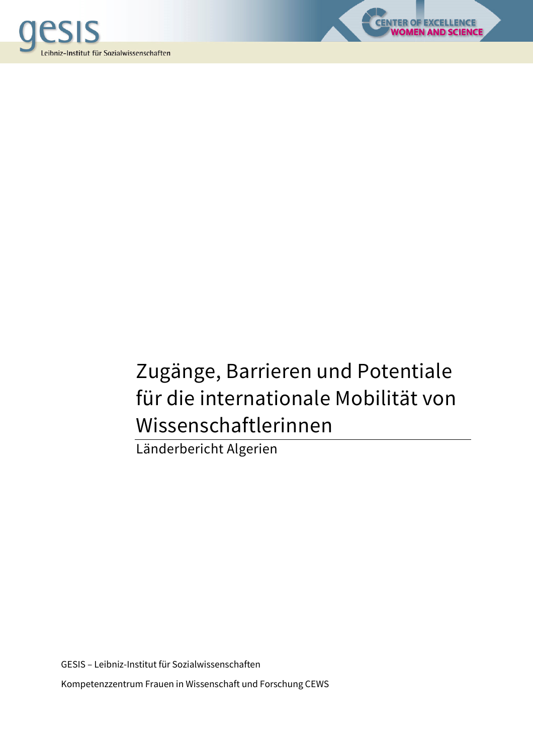



LENCE<br>SCIENCE

Länderbericht Algerien

GESIS – Leibniz-Institut für Sozialwissenschaften Kompetenzzentrum Frauen in Wissenschaft und Forschung CEWS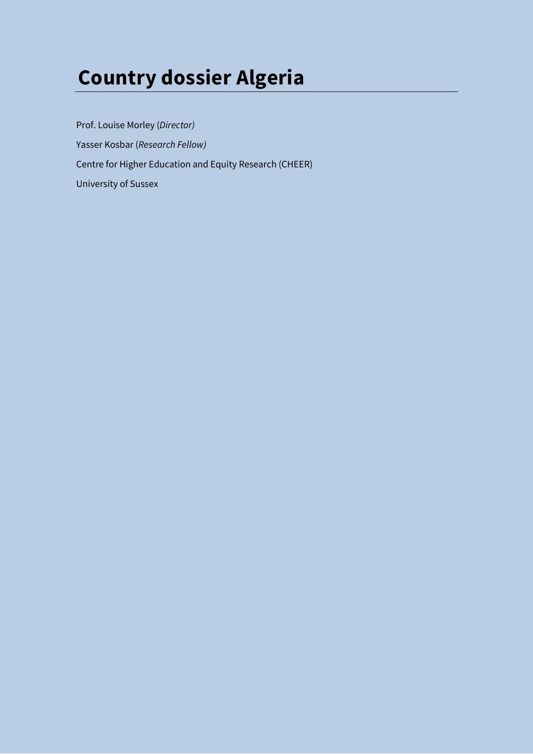# **Country dossier Algeria**

Prof. Louise Morley (*Director)*  Yasser Kosbar (*Research Fellow)*  Centre for Higher Education and Equity Research (CHEER) University of Sussex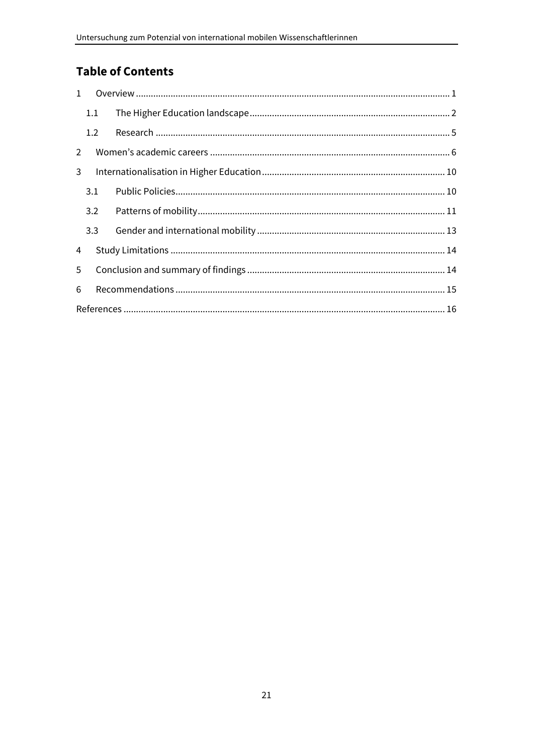# **Table of Contents**

| $\mathbf{1}$   |     |  |  |  |  |  |  |
|----------------|-----|--|--|--|--|--|--|
|                | 1.1 |  |  |  |  |  |  |
|                | 1.2 |  |  |  |  |  |  |
| $\overline{2}$ |     |  |  |  |  |  |  |
| 3              |     |  |  |  |  |  |  |
|                | 3.1 |  |  |  |  |  |  |
|                | 3.2 |  |  |  |  |  |  |
|                | 3.3 |  |  |  |  |  |  |
| 4              |     |  |  |  |  |  |  |
| 5              |     |  |  |  |  |  |  |
| 6              |     |  |  |  |  |  |  |
|                |     |  |  |  |  |  |  |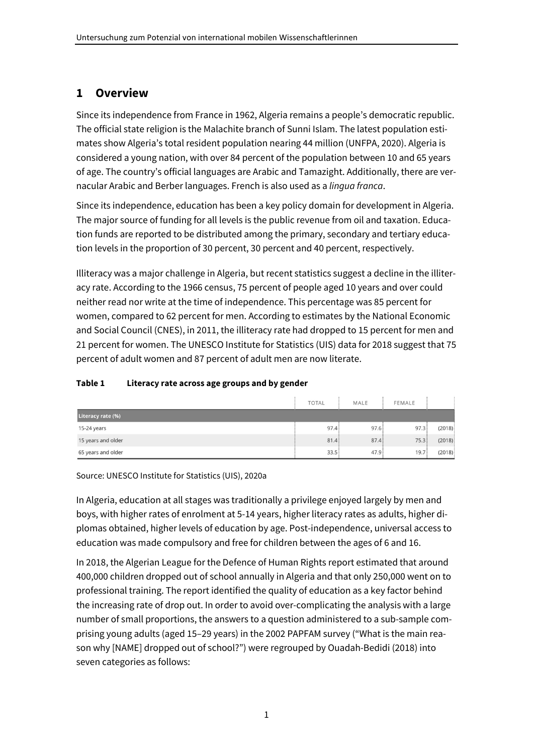# **1 Overview**

Since its independence from France in 1962, Algeria remains a people's democratic republic. The official state religion is the Malachite branch of Sunni Islam. The latest population estimates show Algeria's total resident population nearing 44 million (UNFPA, 2020). Algeria is considered a young nation, with over 84 percent of the population between 10 and 65 years of age. The country's official languages are Arabic and Tamazight. Additionally, there are vernacular Arabic and Berber languages. French is also used as a *lingua franca*.

Since its independence, education has been a key policy domain for development in Algeria. The major source of funding for all levels is the public revenue from oil and taxation. Education funds are reported to be distributed among the primary, secondary and tertiary education levels in the proportion of 30 percent, 30 percent and 40 percent, respectively.

Illiteracy was a major challenge in Algeria, but recent statistics suggest a decline in the illiteracy rate. According to the 1966 census, 75 percent of people aged 10 years and over could neither read nor write at the time of independence. This percentage was 85 percent for women, compared to 62 percent for men. According to estimates by the National Economic and Social Council (CNES), in 2011, the illiteracy rate had dropped to 15 percent for men and 21 percent for women. The UNESCO Institute for Statistics (UIS) data for 2018 suggest that 75 percent of adult women and 87 percent of adult men are now literate.

#### **Table 1 Literacy rate across age groups and by gender**

|                    | <b>TOTAL</b> | MALE | FEMALE |        |
|--------------------|--------------|------|--------|--------|
| Literacy rate (%)  |              |      |        |        |
| 15-24 years        | 97.4         | 97.6 | 97.3   | (2018) |
| 15 years and older | 81.4         | 87.4 | 75.3   | (2018) |
| 65 years and older | 33.5         | 47.9 | 19.7   | (2018) |

Source: UNESCO Institute for Statistics (UIS), 2020a

In Algeria, education at all stages was traditionally a privilege enjoyed largely by men and boys, with higher rates of enrolment at 5-14 years, higher literacy rates as adults, higher diplomas obtained, higher levels of education by age. Post-independence, universal access to education was made compulsory and free for children between the ages of 6 and 16.

In 2018, the Algerian League for the Defence of Human Rights report estimated that around 400,000 children dropped out of school annually in Algeria and that only 250,000 went on to professional training. The report identified the quality of education as a key factor behind the increasing rate of drop out. In order to avoid over-complicating the analysis with a large number of small proportions, the answers to a question administered to a sub-sample comprising young adults (aged 15–29 years) in the 2002 PAPFAM survey ("What is the main reason why [NAME] dropped out of school?") were regrouped by Ouadah-Bedidi (2018) into seven categories as follows: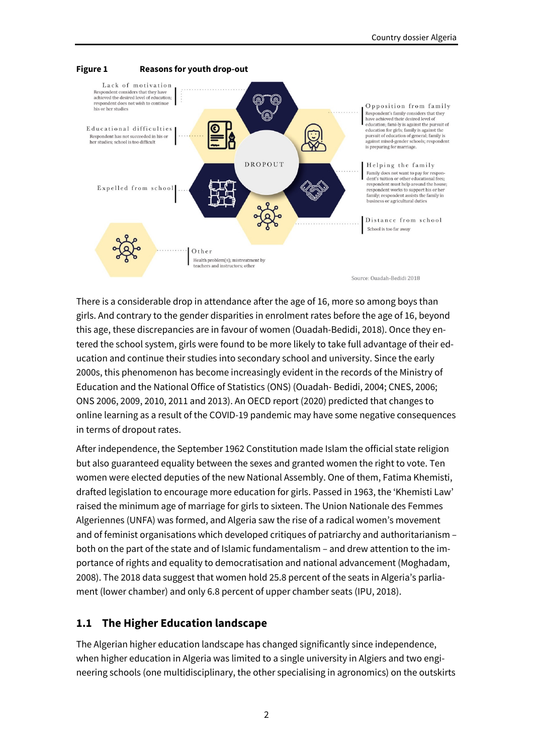

There is a considerable drop in attendance after the age of 16, more so among boys than girls. And contrary to the gender disparities in enrolment rates before the age of 16, beyond this age, these discrepancies are in favour of women (Ouadah-Bedidi, 2018). Once they entered the school system, girls were found to be more likely to take full advantage of their education and continue their studies into secondary school and university. Since the early 2000s, this phenomenon has become increasingly evident in the records of the Ministry of Education and the National Office of Statistics (ONS) (Ouadah- Bedidi, 2004; CNES, 2006; ONS 2006, 2009, 2010, 2011 and 2013). An OECD report (2020) predicted that changes to online learning as a result of the COVID-19 pandemic may have some negative consequences in terms of dropout rates.

After independence, the September 1962 Constitution made Islam the official state religion but also guaranteed equality between the sexes and granted women the right to vote. Ten women were elected deputies of the new National Assembly. One of them, Fatima Khemisti, drafted legislation to encourage more education for girls. Passed in 1963, the 'Khemisti Law' raised the minimum age of marriage for girls to sixteen. The Union Nationale des Femmes Algeriennes (UNFA) was formed, and Algeria saw the rise of a radical women's movement and of feminist organisations which developed critiques of patriarchy and authoritarianism – both on the part of the state and of Islamic fundamentalism – and drew attention to the importance of rights and equality to democratisation and national advancement (Moghadam, 2008). The 2018 data suggest that women hold 25.8 percent of the seats in Algeria's parliament (lower chamber) and only 6.8 percent of upper chamber seats (IPU, 2018).

## **1.1 The Higher Education landscape**

The Algerian higher education landscape has changed significantly since independence, when higher education in Algeria was limited to a single university in Algiers and two engineering schools (one multidisciplinary, the other specialising in agronomics) on the outskirts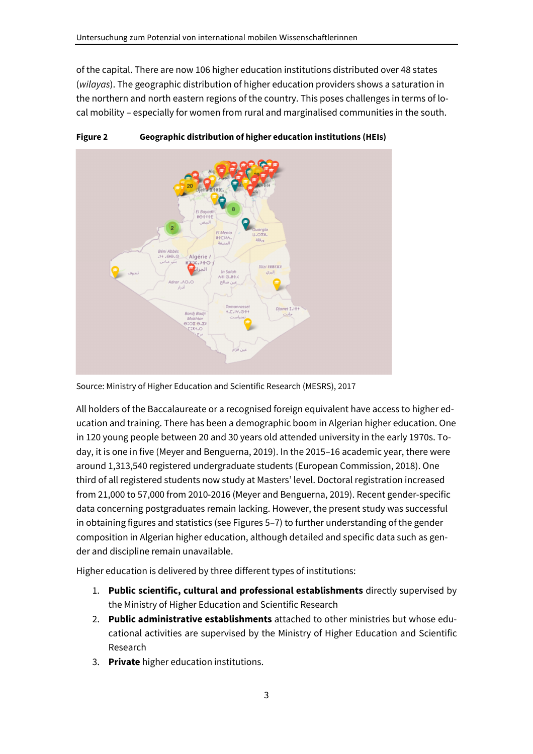of the capital. There are now 106 higher education institutions distributed over 48 states (*wilayas*). The geographic distribution of higher education providers shows a saturation in the northern and north eastern regions of the country. This poses challenges in terms of local mobility – especially for women from rural and marginalised communities in the south.



**Figure 2 Geographic distribution of higher education institutions (HEIs)** 

All holders of the Baccalaureate or a recognised foreign equivalent have access to higher education and training. There has been a demographic boom in Algerian higher education. One in 120 young people between 20 and 30 years old attended university in the early 1970s. Today, it is one in five (Meyer and Benguerna, 2019). In the 2015–16 academic year, there were around 1,313,540 registered undergraduate students (European Commission, 2018). One third of all registered students now study at Masters' level. Doctoral registration increased from 21,000 to 57,000 from 2010-2016 (Meyer and Benguerna, 2019). Recent gender-specific data concerning postgraduates remain lacking. However, the present study was successful in obtaining figures and statistics (see Figures 5–7) to further understanding of the gender composition in Algerian higher education, although detailed and specific data such as gender and discipline remain unavailable.

Higher education is delivered by three different types of institutions:

- 1. **Public scientific, cultural and professional establishments** directly supervised by the Ministry of Higher Education and Scientific Research
- 2. **Public administrative establishments** attached to other ministries but whose educational activities are supervised by the Ministry of Higher Education and Scientific Research
- 3. **Private** higher education institutions.

Source: Ministry of Higher Education and Scientific Research (MESRS), 2017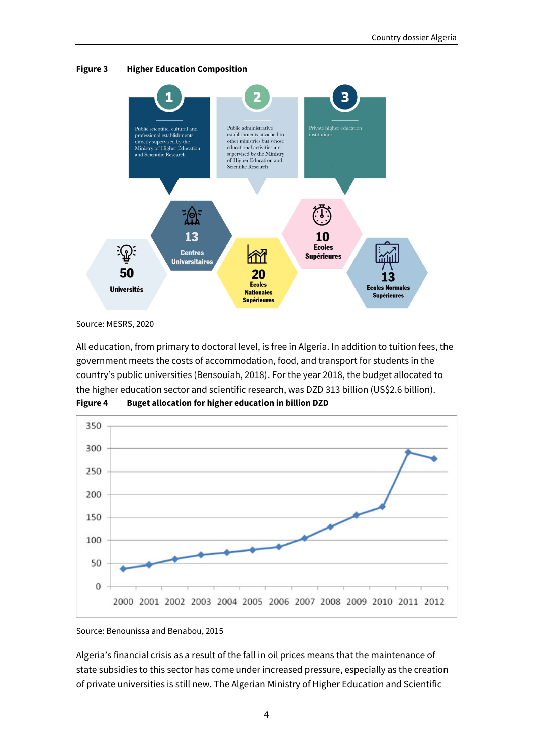

**Figure 3 Higher Education Composition** 

Source: MESRS, 2020

All education, from primary to doctoral level, is free in Algeria. In addition to tuition fees, the government meets the costs of accommodation, food, and transport for students in the country's public universities (Bensouiah, 2018). For the year 2018, the budget allocated to the higher education sector and scientific research, was DZD 313 billion (US\$2.6 billion). **Figure 4 Buget allocation for higher education in billion DZD** 



Source: Benounissa and Benabou, 2015

Algeria's financial crisis as a result of the fall in oil prices means that the maintenance of state subsidies to this sector has come under increased pressure, especially as the creation of private universities is still new. The Algerian Ministry of Higher Education and Scientific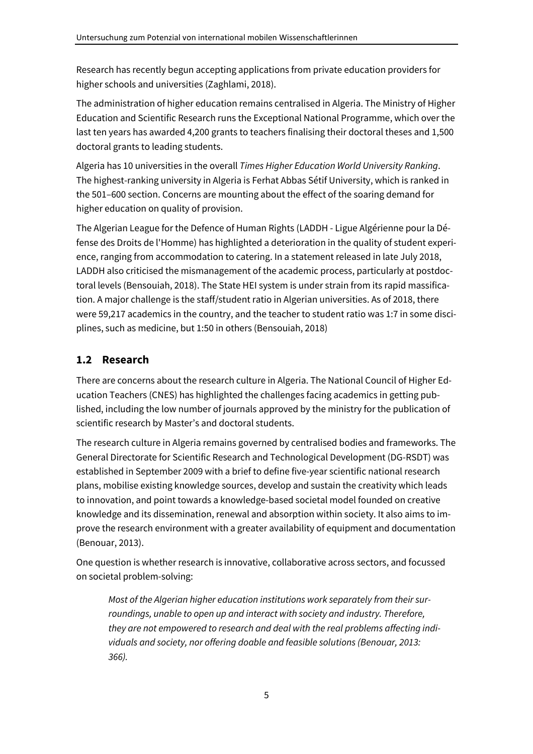Research has recently begun accepting applications from private education providers for higher schools and universities (Zaghlami, 2018).

The administration of higher education remains centralised in Algeria. The Ministry of Higher Education and Scientific Research runs the Exceptional National Programme, which over the last ten years has awarded 4,200 grants to teachers finalising their doctoral theses and 1,500 doctoral grants to leading students.

Algeria has 10 universities in the overall *Times Higher Education World University Ranking*. The highest-ranking university in Algeria is Ferhat Abbas Sétif University, which is ranked in the 501–600 section. Concerns are mounting about the effect of the soaring demand for higher education on quality of provision.

The Algerian League for the Defence of Human Rights (LADDH - Ligue Algérienne pour la Défense des Droits de l'Homme) has highlighted a deterioration in the quality of student experience, ranging from accommodation to catering. In a statement released in late July 2018, LADDH also criticised the mismanagement of the academic process, particularly at postdoctoral levels (Bensouiah, 2018). The State HEI system is under strain from its rapid massification. A major challenge is the staff/student ratio in Algerian universities. As of 2018, there were 59,217 academics in the country, and the teacher to student ratio was 1:7 in some disciplines, such as medicine, but 1:50 in others (Bensouiah, 2018)

## **1.2 Research**

There are concerns about the research culture in Algeria. The National Council of Higher Education Teachers (CNES) has highlighted the challenges facing academics in getting published, including the low number of journals approved by the ministry for the publication of scientific research by Master's and doctoral students.

The research culture in Algeria remains governed by centralised bodies and frameworks. The General Directorate for Scientific Research and Technological Development (DG-RSDT) was established in September 2009 with a brief to define five-year scientific national research plans, mobilise existing knowledge sources, develop and sustain the creativity which leads to innovation, and point towards a knowledge-based societal model founded on creative knowledge and its dissemination, renewal and absorption within society. It also aims to improve the research environment with a greater availability of equipment and documentation (Benouar, 2013).

One question is whether research is innovative, collaborative across sectors, and focussed on societal problem-solving:

*Most of the Algerian higher education institutions work separately from their surroundings, unable to open up and interact with society and industry. Therefore, they are not empowered to research and deal with the real problems affecting individuals and society, nor offering doable and feasible solutions (Benouar, 2013: 366).*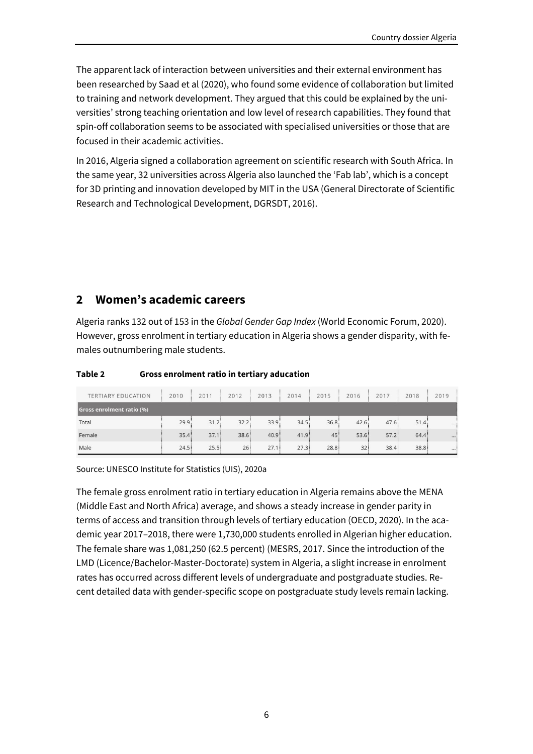The apparent lack of interaction between universities and their external environment has been researched by Saad et al (2020), who found some evidence of collaboration but limited to training and network development. They argued that this could be explained by the universities' strong teaching orientation and low level of research capabilities. They found that spin-off collaboration seems to be associated with specialised universities or those that are focused in their academic activities.

In 2016, Algeria signed a collaboration agreement on scientific research with South Africa. In the same year, 32 universities across Algeria also launched the 'Fab lab', which is a concept for 3D printing and innovation developed by MIT in the USA (General Directorate of Scientific Research and Technological Development, DGRSDT, 2016).

# **2 Women's academic careers**

Algeria ranks 132 out of 153 in the *Global Gender Gap Index* (World Economic Forum, 2020). However, gross enrolment in tertiary education in Algeria shows a gender disparity, with females outnumbering male students.

| Table 2 | Gross enrolment ratio in tertiary aducation |
|---------|---------------------------------------------|
|---------|---------------------------------------------|

| <b>TERTIARY EDUCATION</b>        | 2010              | 2011 | 2012 | 2013              | 2014  | 2015 | 2016  | 2017 | 2018  | 2019     |
|----------------------------------|-------------------|------|------|-------------------|-------|------|-------|------|-------|----------|
| <b>Gross enrolment ratio (%)</b> |                   |      |      |                   |       |      |       |      |       |          |
| Total                            | 29.9:             | 31.2 | 32.2 | 33.9 <sup>1</sup> | 34.5  | 36.8 | 42.6: | 47.6 | 51.4: | $$ :     |
| Female                           | 35.4 <sup>3</sup> | 37.1 | 38.6 | 40.9              | 41.9: | 45:  | 53.6  | 57.2 | 64.4: | $\cdots$ |
| Male                             | 24.5              | 25.5 | 26:  | 27.1:             | 27.3  | 28.8 | 32    | 38.4 | 38.8  |          |

Source: UNESCO Institute for Statistics (UIS), 2020a

The female gross enrolment ratio in tertiary education in Algeria remains above the MENA (Middle East and North Africa) average, and shows a steady increase in gender parity in terms of access and transition through levels of tertiary education (OECD, 2020). In the academic year 2017–2018, there were 1,730,000 students enrolled in Algerian higher education. The female share was 1,081,250 (62.5 percent) (MESRS, 2017. Since the introduction of the LMD (Licence/Bachelor-Master-Doctorate) system in Algeria, a slight increase in enrolment rates has occurred across different levels of undergraduate and postgraduate studies. Recent detailed data with gender-specific scope on postgraduate study levels remain lacking.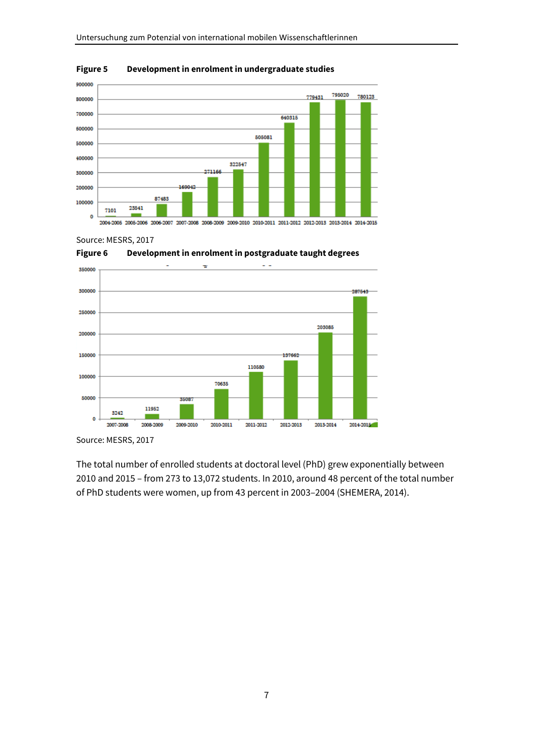

#### **Figure 5 Development in enrolment in undergraduate studies**

Source: MESRS, 2017



**Figure 6 Development in enrolment in postgraduate taught degrees** 

Source: MESRS, 2017

The total number of enrolled students at doctoral level (PhD) grew exponentially between 2010 and 2015 – from 273 to 13,072 students. In 2010, around 48 percent of the total number of PhD students were women, up from 43 percent in 2003–2004 (SHEMERA, 2014).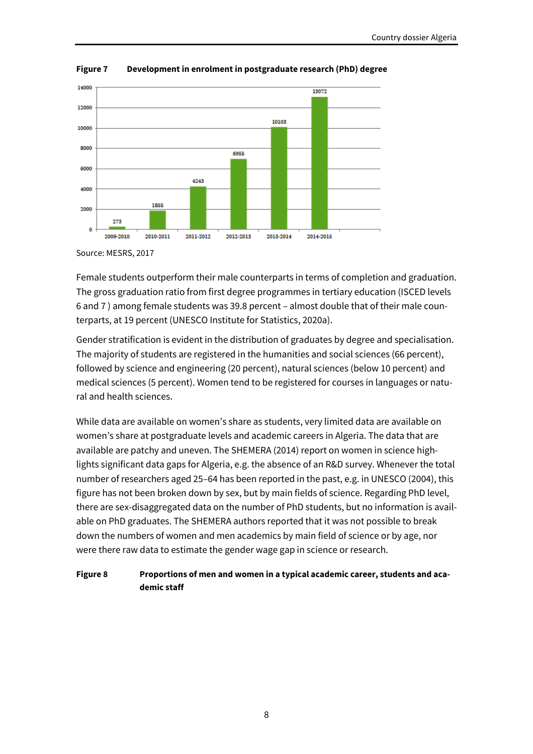

#### **Figure 7 Development in enrolment in postgraduate research (PhD) degree**

Source: MESRS, 2017

Female students outperform their male counterparts in terms of completion and graduation. The gross graduation ratio from first degree programmes in tertiary education (ISCED levels 6 and 7 ) among female students was 39.8 percent – almost double that of their male counterparts, at 19 percent (UNESCO Institute for Statistics, 2020a).

Gender stratification is evident in the distribution of graduates by degree and specialisation. The majority of students are registered in the humanities and social sciences (66 percent), followed by science and engineering (20 percent), natural sciences (below 10 percent) and medical sciences (5 percent). Women tend to be registered for courses in languages or natural and health sciences.

While data are available on women's share as students, very limited data are available on women's share at postgraduate levels and academic careers in Algeria. The data that are available are patchy and uneven. The SHEMERA (2014) report on women in science highlights significant data gaps for Algeria, e.g. the absence of an R&D survey. Whenever the total number of researchers aged 25–64 has been reported in the past, e.g. in UNESCO (2004), this figure has not been broken down by sex, but by main fields of science. Regarding PhD level, there are sex-disaggregated data on the number of PhD students, but no information is available on PhD graduates. The SHEMERA authors reported that it was not possible to break down the numbers of women and men academics by main field of science or by age, nor were there raw data to estimate the gender wage gap in science or research.

#### **Figure 8 Proportions of men and women in a typical academic career, students and academic staff**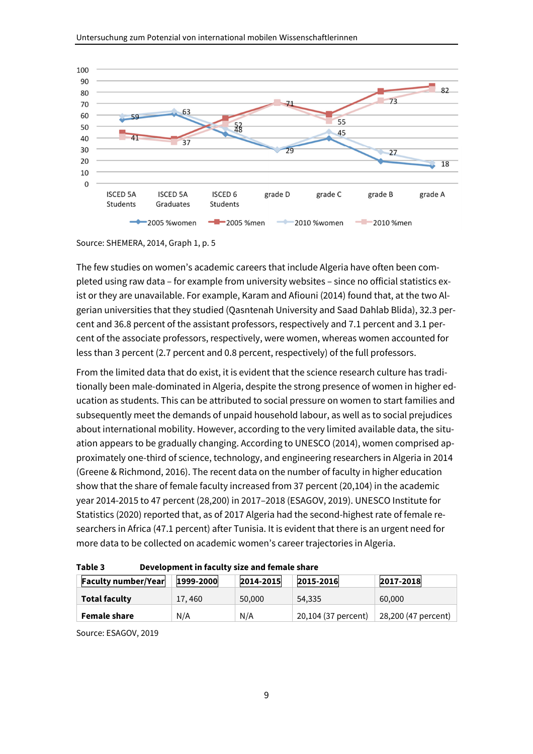

Source: SHEMERA, 2014, Graph 1, p. 5

The few studies on women's academic careers that include Algeria have often been completed using raw data – for example from university websites – since no official statistics exist or they are unavailable. For example, Karam and Afiouni (2014) found that, at the two Algerian universities that they studied (Qasntenah University and Saad Dahlab Blida), 32.3 percent and 36.8 percent of the assistant professors, respectively and 7.1 percent and 3.1 percent of the associate professors, respectively, were women, whereas women accounted for less than 3 percent (2.7 percent and 0.8 percent, respectively) of the full professors.

From the limited data that do exist, it is evident that the science research culture has traditionally been male-dominated in Algeria, despite the strong presence of women in higher education as students. This can be attributed to social pressure on women to start families and subsequently meet the demands of unpaid household labour, as well as to social prejudices about international mobility. However, according to the very limited available data, the situation appears to be gradually changing. According to UNESCO (2014), women comprised approximately one-third of science, technology, and engineering researchers in Algeria in 2014 (Greene & Richmond, 2016). The recent data on the number of faculty in higher education show that the share of female faculty increased from 37 percent (20,104) in the academic year 2014-2015 to 47 percent (28,200) in 2017–2018 (ESAGOV, 2019). UNESCO Institute for Statistics (2020) reported that, as of 2017 Algeria had the second-highest rate of female researchers in Africa (47.1 percent) after Tunisia. It is evident that there is an urgent need for more data to be collected on academic women's career trajectories in Algeria.

| <b>Faculty number/Year</b> | 1999-2000 | 2014-2015 | 2015-2016           | 2017-2018           |  |  |
|----------------------------|-----------|-----------|---------------------|---------------------|--|--|
| <b>Total faculty</b>       | 17, 460   | 50,000    | 54,335              | 60,000              |  |  |
| <b>Female share</b>        | N/A       | N/A       | 20,104 (37 percent) | 28,200 (47 percent) |  |  |

**Table 3 Development in faculty size and female share** 

Source: ESAGOV, 2019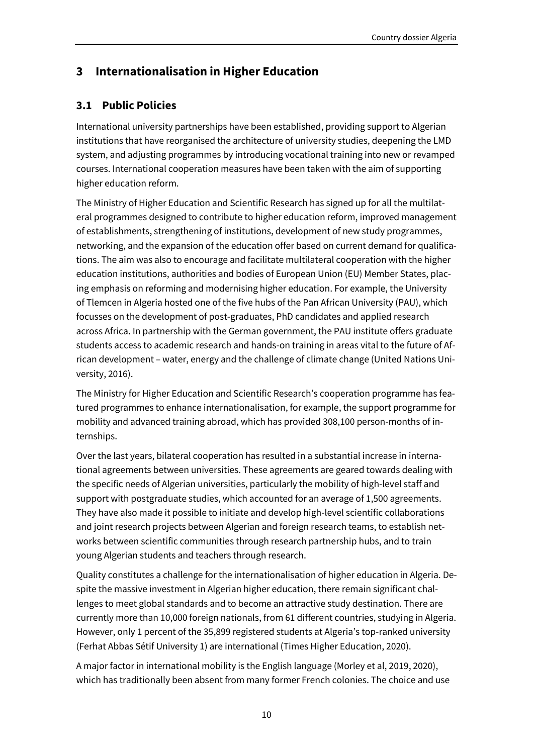# **3 Internationalisation in Higher Education**

## **3.1 Public Policies**

International university partnerships have been established, providing support to Algerian institutions that have reorganised the architecture of university studies, deepening the LMD system, and adjusting programmes by introducing vocational training into new or revamped courses. International cooperation measures have been taken with the aim of supporting higher education reform.

The Ministry of Higher Education and Scientific Research has signed up for all the multilateral programmes designed to contribute to higher education reform, improved management of establishments, strengthening of institutions, development of new study programmes, networking, and the expansion of the education offer based on current demand for qualifications. The aim was also to encourage and facilitate multilateral cooperation with the higher education institutions, authorities and bodies of European Union (EU) Member States, placing emphasis on reforming and modernising higher education. For example, the University of Tlemcen in Algeria hosted one of the five hubs of the Pan African University (PAU), which focusses on the development of post-graduates, PhD candidates and applied research across Africa. In partnership with the German government, the PAU institute offers graduate students access to academic research and hands-on training in areas vital to the future of African development – water, energy and the challenge of climate change (United Nations University, 2016).

The Ministry for Higher Education and Scientific Research's cooperation programme has featured programmes to enhance internationalisation, for example, the support programme for mobility and advanced training abroad, which has provided 308,100 person-months of internships.

Over the last years, bilateral cooperation has resulted in a substantial increase in international agreements between universities. These agreements are geared towards dealing with the specific needs of Algerian universities, particularly the mobility of high-level staff and support with postgraduate studies, which accounted for an average of 1,500 agreements. They have also made it possible to initiate and develop high-level scientific collaborations and joint research projects between Algerian and foreign research teams, to establish networks between scientific communities through research partnership hubs, and to train young Algerian students and teachers through research.

Quality constitutes a challenge for the internationalisation of higher education in Algeria. Despite the massive investment in Algerian higher education, there remain significant challenges to meet global standards and to become an attractive study destination. There are currently more than 10,000 foreign nationals, from 61 different countries, studying in Algeria. However, only 1 percent of the 35,899 registered students at Algeria's top-ranked university (Ferhat Abbas Sétif University 1) are international (Times Higher Education, 2020).

A major factor in international mobility is the English language (Morley et al, 2019, 2020), which has traditionally been absent from many former French colonies. The choice and use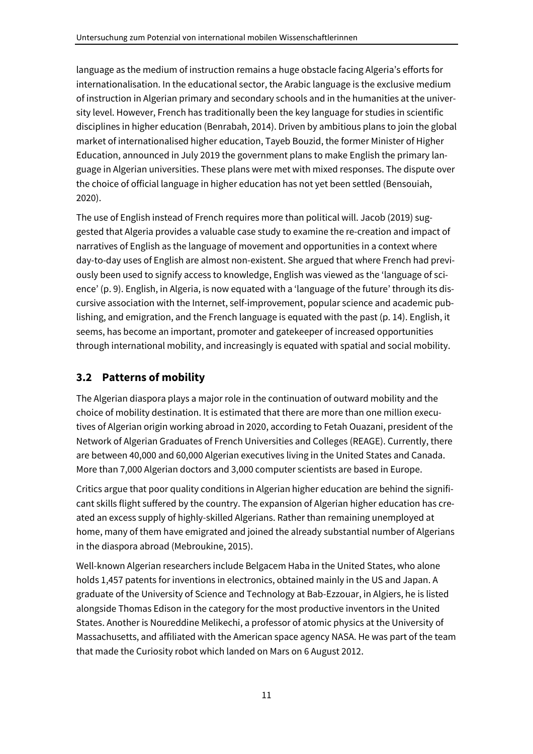language as the medium of instruction remains a huge obstacle facing Algeria's efforts for internationalisation. In the educational sector, the Arabic language is the exclusive medium of instruction in Algerian primary and secondary schools and in the humanities at the university level. However, French has traditionally been the key language for studies in scientific disciplines in higher education (Benrabah, 2014). Driven by ambitious plans to join the global market of internationalised higher education, Tayeb Bouzid, the former Minister of Higher Education, announced in July 2019 the government plans to make English the primary language in Algerian universities. These plans were met with mixed responses. The dispute over the choice of official language in higher education has not yet been settled (Bensouiah, 2020).

The use of English instead of French requires more than political will. Jacob (2019) suggested that Algeria provides a valuable case study to examine the re-creation and impact of narratives of English as the language of movement and opportunities in a context where day-to-day uses of English are almost non-existent. She argued that where French had previously been used to signify access to knowledge, English was viewed as the 'language of science' (p. 9). English, in Algeria, is now equated with a 'language of the future' through its discursive association with the Internet, self-improvement, popular science and academic publishing, and emigration, and the French language is equated with the past (p. 14). English, it seems, has become an important, promoter and gatekeeper of increased opportunities through international mobility, and increasingly is equated with spatial and social mobility.

# **3.2 Patterns of mobility**

The Algerian diaspora plays a major role in the continuation of outward mobility and the choice of mobility destination. It is estimated that there are more than one million executives of Algerian origin working abroad in 2020, according to Fetah Ouazani, president of the Network of Algerian Graduates of French Universities and Colleges (REAGE). Currently, there are between 40,000 and 60,000 Algerian executives living in the United States and Canada. More than 7,000 Algerian doctors and 3,000 computer scientists are based in Europe.

Critics argue that poor quality conditions in Algerian higher education are behind the significant skills flight suffered by the country. The expansion of Algerian higher education has created an excess supply of highly-skilled Algerians. Rather than remaining unemployed at home, many of them have emigrated and joined the already substantial number of Algerians in the diaspora abroad (Mebroukine, 2015).

Well-known Algerian researchers include Belgacem Haba in the United States, who alone holds 1,457 patents for inventions in electronics, obtained mainly in the US and Japan. A graduate of the University of Science and Technology at Bab-Ezzouar, in Algiers, he is listed alongside Thomas Edison in the category for the most productive inventors in the United States. Another is Noureddine Melikechi, a professor of atomic physics at the University of Massachusetts, and affiliated with the American space agency NASA. He was part of the team that made the Curiosity robot which landed on Mars on 6 August 2012.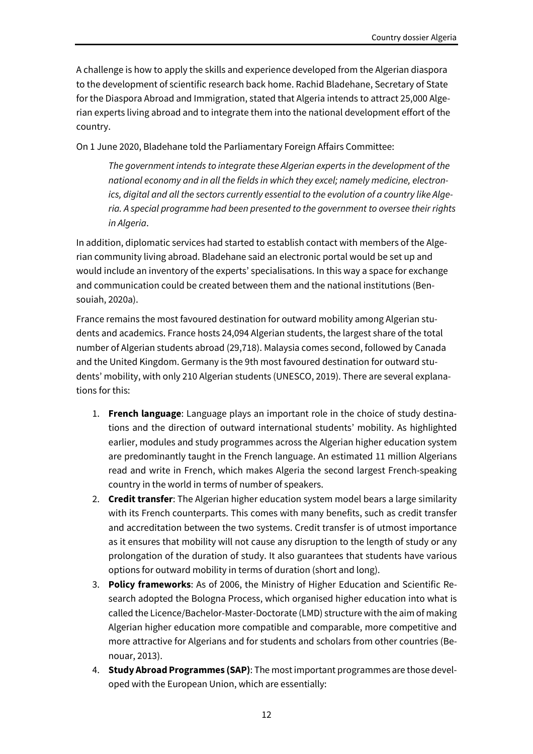A challenge is how to apply the skills and experience developed from the Algerian diaspora to the development of scientific research back home. Rachid Bladehane, Secretary of State for the Diaspora Abroad and Immigration, stated that Algeria intends to attract 25,000 Algerian experts living abroad and to integrate them into the national development effort of the country.

On 1 June 2020, Bladehane told the Parliamentary Foreign Affairs Committee:

*The government intends to integrate these Algerian experts in the development of the national economy and in all the fields in which they excel; namely medicine, electronics, digital and all the sectors currently essential to the evolution of a country like Algeria. A special programme had been presented to the government to oversee their rights in Algeria*.

In addition, diplomatic services had started to establish contact with members of the Algerian community living abroad. Bladehane said an electronic portal would be set up and would include an inventory of the experts' specialisations. In this way a space for exchange and communication could be created between them and the national institutions (Bensouiah, 2020a).

France remains the most favoured destination for outward mobility among Algerian students and academics. France hosts 24,094 Algerian students, the largest share of the total number of Algerian students abroad (29,718). Malaysia comes second, followed by Canada and the United Kingdom. Germany is the 9th most favoured destination for outward students' mobility, with only 210 Algerian students (UNESCO, 2019). There are several explanations for this:

- 1. **French language**: Language plays an important role in the choice of study destinations and the direction of outward international students' mobility. As highlighted earlier, modules and study programmes across the Algerian higher education system are predominantly taught in the French language. An estimated 11 million Algerians read and write in French, which makes Algeria the second largest French-speaking country in the world in terms of number of speakers.
- 2. **Credit transfer**: The Algerian higher education system model bears a large similarity with its French counterparts. This comes with many benefits, such as credit transfer and accreditation between the two systems. Credit transfer is of utmost importance as it ensures that mobility will not cause any disruption to the length of study or any prolongation of the duration of study. It also guarantees that students have various options for outward mobility in terms of duration (short and long).
- 3. **Policy frameworks**: As of 2006, the Ministry of Higher Education and Scientific Research adopted the Bologna Process, which organised higher education into what is called the Licence/Bachelor-Master-Doctorate (LMD) structure with the aim of making Algerian higher education more compatible and comparable, more competitive and more attractive for Algerians and for students and scholars from other countries (Benouar, 2013).
- 4. **Study Abroad Programmes (SAP)**: The most important programmes are those developed with the European Union, which are essentially: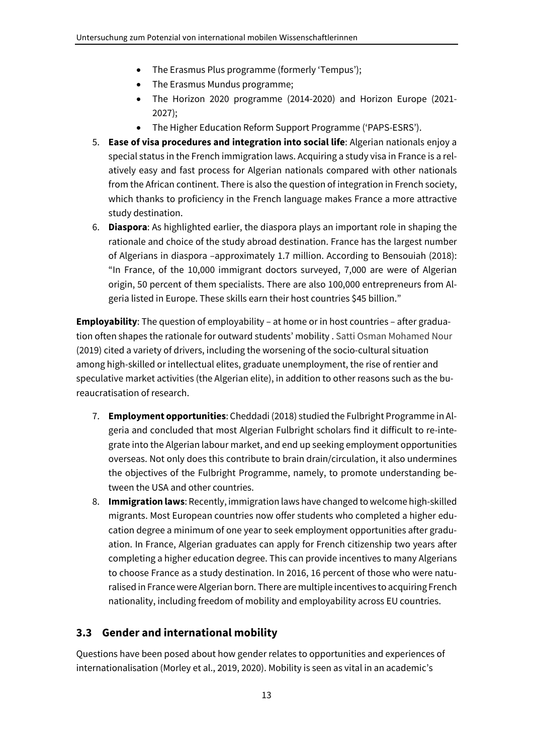- The Erasmus Plus programme (formerly 'Tempus');
- The Erasmus Mundus programme;
- The Horizon 2020 programme (2014-2020) and Horizon Europe (2021- 2027);
- The Higher Education Reform Support Programme ('PAPS-ESRS').
- 5. **Ease of visa procedures and integration into social life**: Algerian nationals enjoy a special status in the French immigration laws. Acquiring a study visa in France is a relatively easy and fast process for Algerian nationals compared with other nationals from the African continent. There is also the question of integration in French society, which thanks to proficiency in the French language makes France a more attractive study destination.
- 6. **Diaspora**: As highlighted earlier, the diaspora plays an important role in shaping the rationale and choice of the study abroad destination. France has the largest number of Algerians in diaspora –approximately 1.7 million. According to Bensouiah (2018): "In France, of the 10,000 immigrant doctors surveyed, 7,000 are were of Algerian origin, 50 percent of them specialists. There are also 100,000 entrepreneurs from Algeria listed in Europe. These skills earn their host countries \$45 billion."

**Employability**: The question of employability – at home or in host countries – after graduation often shapes the rationale for outward students' mobility . Satti Osman Mohamed Nour (2019) cited a variety of drivers, including the worsening of the socio-cultural situation among high-skilled or intellectual elites, graduate unemployment, the rise of rentier and speculative market activities (the Algerian elite), in addition to other reasons such as the bureaucratisation of research.

- 7. **Employment opportunities**: Cheddadi (2018) studied the Fulbright Programme in Algeria and concluded that most Algerian Fulbright scholars find it difficult to re-integrate into the Algerian labour market, and end up seeking employment opportunities overseas. Not only does this contribute to brain drain/circulation, it also undermines the objectives of the Fulbright Programme, namely, to promote understanding between the USA and other countries.
- 8. **Immigration laws**: Recently, immigration laws have changed to welcome high-skilled migrants. Most European countries now offer students who completed a higher education degree a minimum of one year to seek employment opportunities after graduation. In France, Algerian graduates can apply for French citizenship two years after completing a higher education degree. This can provide incentives to many Algerians to choose France as a study destination. In 2016, 16 percent of those who were naturalised in France were Algerian born. There are multiple incentives to acquiring French nationality, including freedom of mobility and employability across EU countries.

## **3.3 Gender and international mobility**

Questions have been posed about how gender relates to opportunities and experiences of internationalisation (Morley et al., 2019, 2020). Mobility is seen as vital in an academic's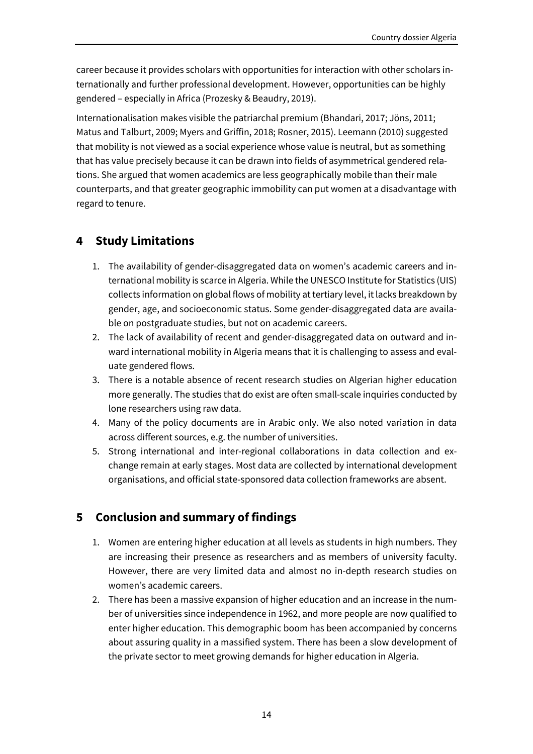career because it provides scholars with opportunities for interaction with other scholars internationally and further professional development. However, opportunities can be highly gendered – especially in Africa (Prozesky & Beaudry, 2019).

Internationalisation makes visible the patriarchal premium (Bhandari, 2017; Jöns, 2011; Matus and Talburt, 2009; Myers and Griffin, 2018; Rosner, 2015). Leemann (2010) suggested that mobility is not viewed as a social experience whose value is neutral, but as something that has value precisely because it can be drawn into fields of asymmetrical gendered relations. She argued that women academics are less geographically mobile than their male counterparts, and that greater geographic immobility can put women at a disadvantage with regard to tenure.

# **4 Study Limitations**

- 1. The availability of gender-disaggregated data on women's academic careers and international mobility is scarce in Algeria. While the UNESCO Institute for Statistics (UIS) collects information on global flows of mobility at tertiary level, it lacks breakdown by gender, age, and socioeconomic status. Some gender-disaggregated data are available on postgraduate studies, but not on academic careers.
- 2. The lack of availability of recent and gender-disaggregated data on outward and inward international mobility in Algeria means that it is challenging to assess and evaluate gendered flows.
- 3. There is a notable absence of recent research studies on Algerian higher education more generally. The studies that do exist are often small-scale inquiries conducted by lone researchers using raw data.
- 4. Many of the policy documents are in Arabic only. We also noted variation in data across different sources, e.g. the number of universities.
- 5. Strong international and inter-regional collaborations in data collection and exchange remain at early stages. Most data are collected by international development organisations, and official state-sponsored data collection frameworks are absent.

# **5 Conclusion and summary of findings**

- 1. Women are entering higher education at all levels as students in high numbers. They are increasing their presence as researchers and as members of university faculty. However, there are very limited data and almost no in-depth research studies on women's academic careers.
- 2. There has been a massive expansion of higher education and an increase in the number of universities since independence in 1962, and more people are now qualified to enter higher education. This demographic boom has been accompanied by concerns about assuring quality in a massified system. There has been a slow development of the private sector to meet growing demands for higher education in Algeria.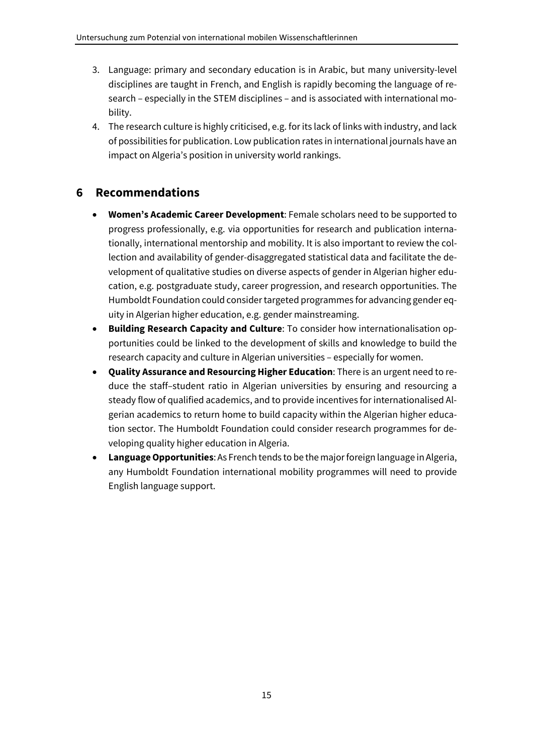- 3. Language: primary and secondary education is in Arabic, but many university-level disciplines are taught in French, and English is rapidly becoming the language of research – especially in the STEM disciplines – and is associated with international mobility.
- 4. The research culture is highly criticised, e.g. for its lack of links with industry, and lack of possibilities for publication. Low publication rates in international journals have an impact on Algeria's position in university world rankings.

# **6 Recommendations**

- **Women's Academic Career Development**: Female scholars need to be supported to progress professionally, e.g. via opportunities for research and publication internationally, international mentorship and mobility. It is also important to review the collection and availability of gender-disaggregated statistical data and facilitate the development of qualitative studies on diverse aspects of gender in Algerian higher education, e.g. postgraduate study, career progression, and research opportunities. The Humboldt Foundation could consider targeted programmes for advancing gender equity in Algerian higher education, e.g. gender mainstreaming.
- **Building Research Capacity and Culture**: To consider how internationalisation opportunities could be linked to the development of skills and knowledge to build the research capacity and culture in Algerian universities – especially for women.
- **Quality Assurance and Resourcing Higher Education**: There is an urgent need to reduce the staff–student ratio in Algerian universities by ensuring and resourcing a steady flow of qualified academics, and to provide incentives for internationalised Algerian academics to return home to build capacity within the Algerian higher education sector. The Humboldt Foundation could consider research programmes for developing quality higher education in Algeria.
- **Language Opportunities**: As French tends to be the major foreign language in Algeria, any Humboldt Foundation international mobility programmes will need to provide English language support.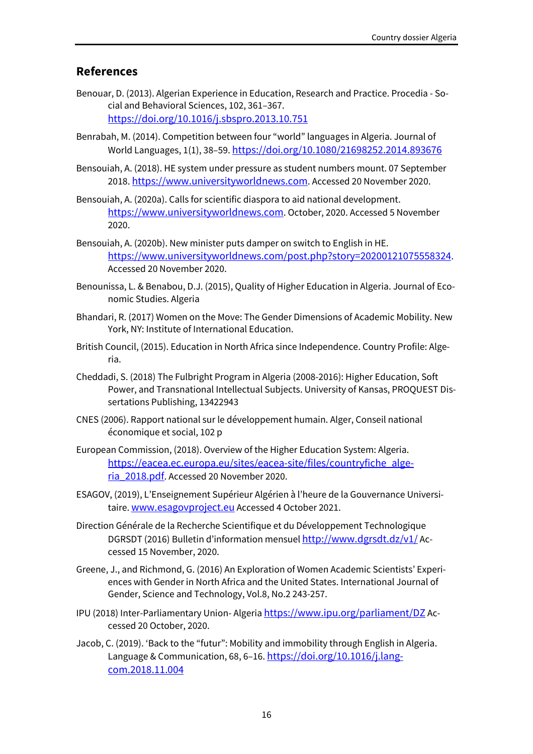### **References**

- Benouar, D. (2013). Algerian Experience in Education, Research and Practice. Procedia Social and Behavioral Sciences, 102, 361–367. https://doi.org/10.1016/j.sbspro.2013.10.751
- Benrabah, M. (2014). Competition between four "world" languages in Algeria. Journal of World Languages, 1(1), 38–59. https://doi.org/10.1080/21698252.2014.893676
- Bensouiah, A. (2018). HE system under pressure as student numbers mount. 07 September 2018. https://www.universityworldnews.com. Accessed 20 November 2020.
- Bensouiah, A. (2020a). Calls for scientific diaspora to aid national development. https://www.universityworldnews.com. October, 2020. Accessed 5 November 2020.
- Bensouiah, A. (2020b). New minister puts damper on switch to English in HE. https://www.universityworldnews.com/post.php?story=20200121075558324. Accessed 20 November 2020.
- Benounissa, L. & Benabou, D.J. (2015), Quality of Higher Education in Algeria. Journal of Economic Studies. Algeria
- Bhandari, R. (2017) Women on the Move: The Gender Dimensions of Academic Mobility. New York, NY: Institute of International Education.
- British Council, (2015). Education in North Africa since Independence. Country Profile: Algeria.
- Cheddadi, S. (2018) The Fulbright Program in Algeria (2008-2016): Higher Education, Soft Power, and Transnational Intellectual Subjects. University of Kansas, PROQUEST Dissertations Publishing, 13422943
- CNES (2006). Rapport national sur le développement humain. Alger, Conseil national économique et social, 102 p
- European Commission, (2018). Overview of the Higher Education System: Algeria. https://eacea.ec.europa.eu/sites/eacea-site/files/countryfiche\_algeria\_2018.pdf. Accessed 20 November 2020.
- ESAGOV, (2019), L'Enseignement Supérieur Algérien à l'heure de la Gouvernance Universitaire. www.esagovproject.eu Accessed 4 October 2021.
- Direction Générale de la Recherche Scientifique et du Développement Technologique DGRSDT (2016) Bulletin d'information mensuel http://www.dgrsdt.dz/v1/Accessed 15 November, 2020.
- Greene, J., and Richmond, G. (2016) An Exploration of Women Academic Scientists' Experiences with Gender in North Africa and the United States. International Journal of Gender, Science and Technology, Vol.8, No.2 243-257.
- IPU (2018) Inter-Parliamentary Union- Algeria https://www.ipu.org/parliament/DZ Accessed 20 October, 2020.
- Jacob, C. (2019). 'Back to the "futur": Mobility and immobility through English in Algeria. Language & Communication, 68, 6-16. https://doi.org/10.1016/j.langcom.2018.11.004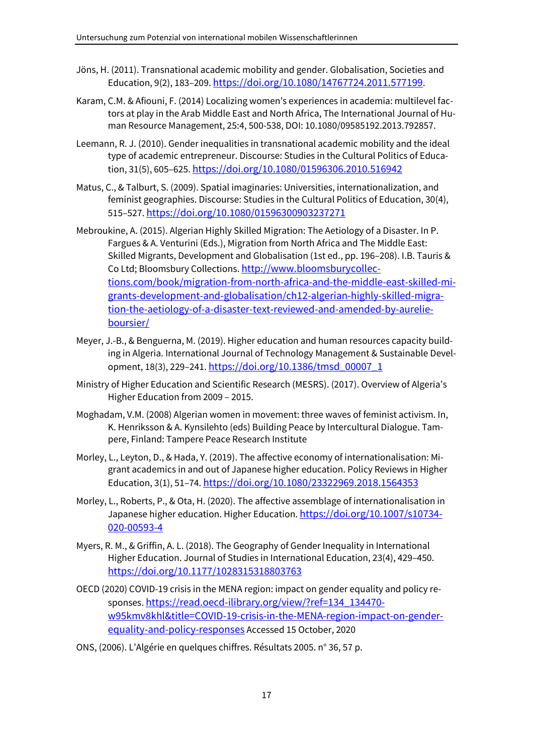- Jöns, H. (2011). Transnational academic mobility and gender. Globalisation, Societies and Education, 9(2), 183-209. https://doi.org/10.1080/14767724.2011.577199.
- Karam, C.M. & Afiouni, F. (2014) Localizing women's experiences in academia: multilevel factors at play in the Arab Middle East and North Africa, The International Journal of Human Resource Management, 25:4, 500-538, DOI: 10.1080/09585192.2013.792857.
- Leemann, R. J. (2010). Gender inequalities in transnational academic mobility and the ideal type of academic entrepreneur. Discourse: Studies in the Cultural Politics of Education, 31(5), 605–625. https://doi.org/10.1080/01596306.2010.516942
- Matus, C., & Talburt, S. (2009). Spatial imaginaries: Universities, internationalization, and feminist geographies. Discourse: Studies in the Cultural Politics of Education, 30(4), 515–527. https://doi.org/10.1080/01596300903237271
- Mebroukine, A. (2015). Algerian Highly Skilled Migration: The Aetiology of a Disaster. In P. Fargues & A. Venturini (Eds.), Migration from North Africa and The Middle East: Skilled Migrants, Development and Globalisation (1st ed., pp. 196–208). I.B. Tauris & Co Ltd; Bloomsbury Collections. http://www.bloomsburycollections.com/book/migration-from-north-africa-and-the-middle-east-skilled-migrants-development-and-globalisation/ch12-algerian-highly-skilled-migration-the-aetiology-of-a-disaster-text-reviewed-and-amended-by-aurelieboursier/
- Meyer, J.-B., & Benguerna, M. (2019). Higher education and human resources capacity building in Algeria. International Journal of Technology Management & Sustainable Development, 18(3), 229-241. https://doi.org/10.1386/tmsd\_00007\_1
- Ministry of Higher Education and Scientific Research (MESRS). (2017). Overview of Algeria's Higher Education from 2009 – 2015.
- Moghadam, V.M. (2008) Algerian women in movement: three waves of feminist activism. In, K. Henriksson & A. Kynsilehto (eds) Building Peace by Intercultural Dialogue. Tampere, Finland: Tampere Peace Research Institute
- Morley, L., Leyton, D., & Hada, Y. (2019). The affective economy of internationalisation: Migrant academics in and out of Japanese higher education. Policy Reviews in Higher Education, 3(1), 51-74. https://doi.org/10.1080/23322969.2018.1564353
- Morley, L., Roberts, P., & Ota, H. (2020). The affective assemblage of internationalisation in Japanese higher education. Higher Education. https://doi.org/10.1007/s10734- 020-00593-4
- Myers, R. M., & Griffin, A. L. (2018). The Geography of Gender Inequality in International Higher Education. Journal of Studies in International Education, 23(4), 429–450. https://doi.org/10.1177/1028315318803763
- OECD (2020) COVID-19 crisis in the MENA region: impact on gender equality and policy responses. https://read.oecd-ilibrary.org/view/?ref=134\_134470 w95kmv8khl&title=COVID-19-crisis-in-the-MENA-region-impact-on-genderequality-and-policy-responses Accessed 15 October, 2020
- ONS, (2006). L'Algérie en quelques chiffres. Résultats 2005. n° 36, 57 p.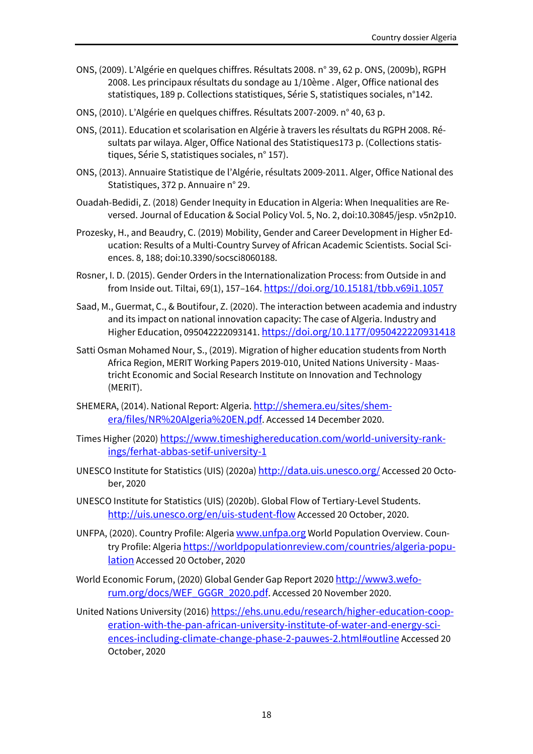- ONS, (2009). L'Algérie en quelques chiffres. Résultats 2008. n° 39, 62 p. ONS, (2009b), RGPH 2008. Les principaux résultats du sondage au 1/10ème . Alger, Office national des statistiques, 189 p. Collections statistiques, Série S, statistiques sociales, n°142.
- ONS, (2010). L'Algérie en quelques chiffres. Résultats 2007-2009. n° 40, 63 p.
- ONS, (2011). Education et scolarisation en Algérie à travers les résultats du RGPH 2008. Résultats par wilaya. Alger, Office National des Statistiques173 p. (Collections statistiques, Série S, statistiques sociales, n° 157).
- ONS, (2013). Annuaire Statistique de l'Algérie, résultats 2009-2011. Alger, Office National des Statistiques, 372 p. Annuaire n° 29.
- Ouadah-Bedidi, Z. (2018) Gender Inequity in Education in Algeria: When Inequalities are Reversed. Journal of Education & Social Policy Vol. 5, No. 2, doi:10.30845/jesp. v5n2p10.
- Prozesky, H., and Beaudry, C. (2019) Mobility, Gender and Career Development in Higher Education: Results of a Multi-Country Survey of African Academic Scientists. Social Sciences. 8, 188; doi:10.3390/socsci8060188.
- Rosner, I. D. (2015). Gender Orders in the Internationalization Process: from Outside in and from Inside out. Tiltai, 69(1), 157–164. https://doi.org/10.15181/tbb.v69i1.1057
- Saad, M., Guermat, C., & Boutifour, Z. (2020). The interaction between academia and industry and its impact on national innovation capacity: The case of Algeria. Industry and Higher Education, 095042222093141. https://doi.org/10.1177/0950422220931418
- Satti Osman Mohamed Nour, S., (2019). Migration of higher education students from North Africa Region, MERIT Working Papers 2019-010, United Nations University - Maastricht Economic and Social Research Institute on Innovation and Technology (MERIT).
- SHEMERA, (2014). National Report: Algeria. http://shemera.eu/sites/shemera/files/NR%20Algeria%20EN.pdf. Accessed 14 December 2020.
- Times Higher (2020) https://www.timeshighereducation.com/world-university-rankings/ferhat-abbas-setif-university-1
- UNESCO Institute for Statistics (UIS) (2020a) http://data.uis.unesco.org/ Accessed 20 October, 2020
- UNESCO Institute for Statistics (UIS) (2020b). Global Flow of Tertiary-Level Students. http://uis.unesco.org/en/uis-student-flow Accessed 20 October, 2020.
- UNFPA, (2020). Country Profile: Algeria www.unfpa.org World Population Overview. Country Profile: Algeria https://worldpopulationreview.com/countries/algeria-popu**lation** Accessed 20 October, 2020
- World Economic Forum, (2020) Global Gender Gap Report 2020 http://www3.weforum.org/docs/WEF\_GGGR\_2020.pdf. Accessed 20 November 2020.
- United Nations University (2016) https://ehs.unu.edu/research/higher-education-cooperation-with-the-pan-african-university-institute-of-water-and-energy-sciences-including-climate-change-phase-2-pauwes-2.html#outline Accessed 20 October, 2020